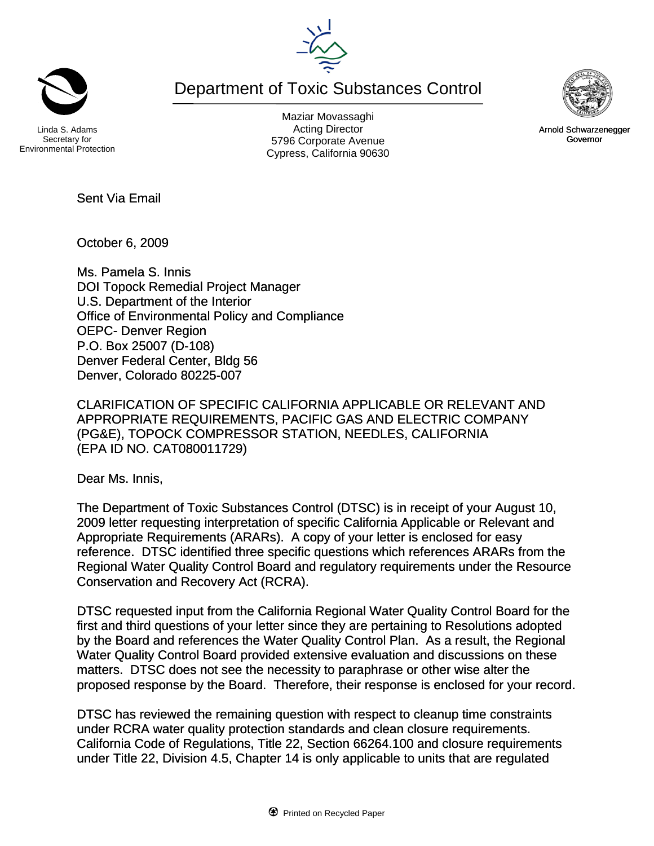Department of Toxic Substances Control

Linda S. Adams Secretary for Environmental Protection

Maziar Movassaghi Acting Director 5796 Corporate Avenue Cypress, California 90630

October 6, 2009

Sent Via Email

Ms. Pamela S. Innis DOI Topock Remedial Project Manager U.S. Department of the Interior Office of Environmental Policy and Compliance OEPC- Denver Region P.O. Box 25007 (D-108) Denver Federal Center, Bldg 56 Denver, Colorado 80225-007

CLARIFICATION OF SPECIFIC CALIFORNIA APPLICABLE OR RELEVANT AND APPROPRIATE REQUIREMENTS, PACIFIC GAS AND ELECTRIC COMPANY (PG&E), TOPOCK COMPRESSOR STATION, NEEDLES, CALIFORNIA (EPA ID NO. CAT080011729)

Dear Ms. Innis,

The Department of Toxic Substances Control (DTSC) is in receipt of your August 10, 2009 letter requesting interpretation of specific California Applicable or Relevant and Appropriate Requirements (ARARs). A copy of your letter is enclosed for easy reference. DTSC identified three specific questions which references ARARs from the Regional Water Quality Control Board and regulatory requirements under the Resource Conservation and Recovery Act (RCRA).

DTSC requested input from the California Regional Water Quality Control Board for the first and third questions of your letter since they are pertaining to Resolutions adopted by the Board and references the Water Quality Control Plan. As a result, the Regional Water Quality Control Board provided extensive evaluation and discussions on these matters. DTSC does not see the necessity to paraphrase or other wise alter the proposed response by the Board. Therefore, their response is enclosed for your record.

DTSC has reviewed the remaining question with respect to cleanup time constraints under RCRA water quality protection standards and clean closure requirements. California Code of Regulations, Title 22, Section 66264.100 and closure requirements under Title 22, Division 4.5, Chapter 14 is only applicable to units that are regulated





Arnold Schwarzenegger Governor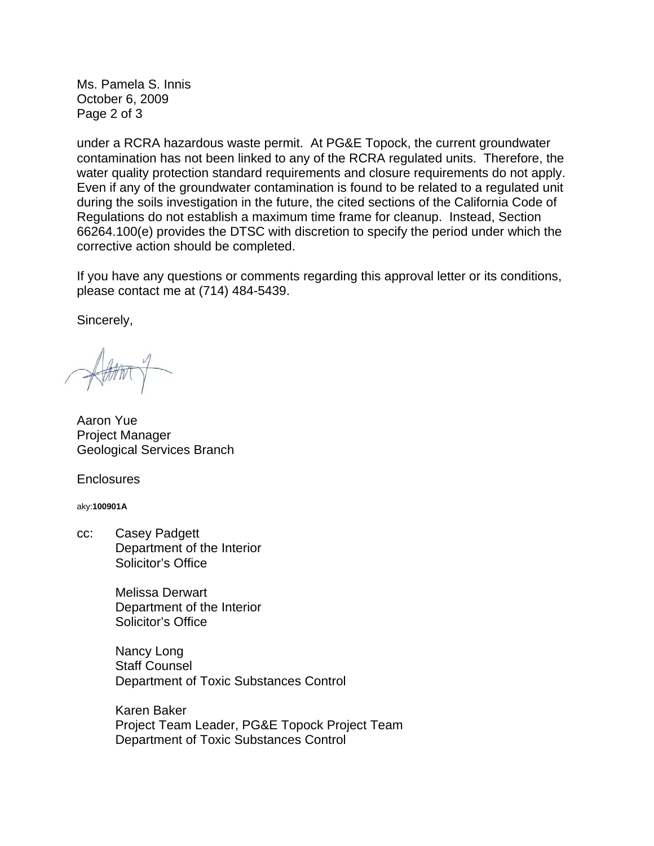Ms. Pamela S. Innis October 6, 2009 Page 2 of 3

under a RCRA hazardous waste permit. At PG&E Topock, the current groundwater contamination has not been linked to any of the RCRA regulated units. Therefore, the water quality protection standard requirements and closure requirements do not apply. Even if any of the groundwater contamination is found to be related to a regulated unit during the soils investigation in the future, the cited sections of the California Code of Regulations do not establish a maximum time frame for cleanup. Instead, Section 66264.100(e) provides the DTSC with discretion to specify the period under which the corrective action should be completed.

If you have any questions or comments regarding this approval letter or its conditions, please contact me at (714) 484-5439.

Sincerely,

Aaron Yue Project Manager Geological Services Branch

**Enclosures** 

aky:**100901A**

cc: Casey Padgett Department of the Interior Solicitor's Office

> Melissa Derwart Department of the Interior Solicitor's Office

 Nancy Long Staff Counsel Department of Toxic Substances Control

 Karen Baker Project Team Leader, PG&E Topock Project Team Department of Toxic Substances Control